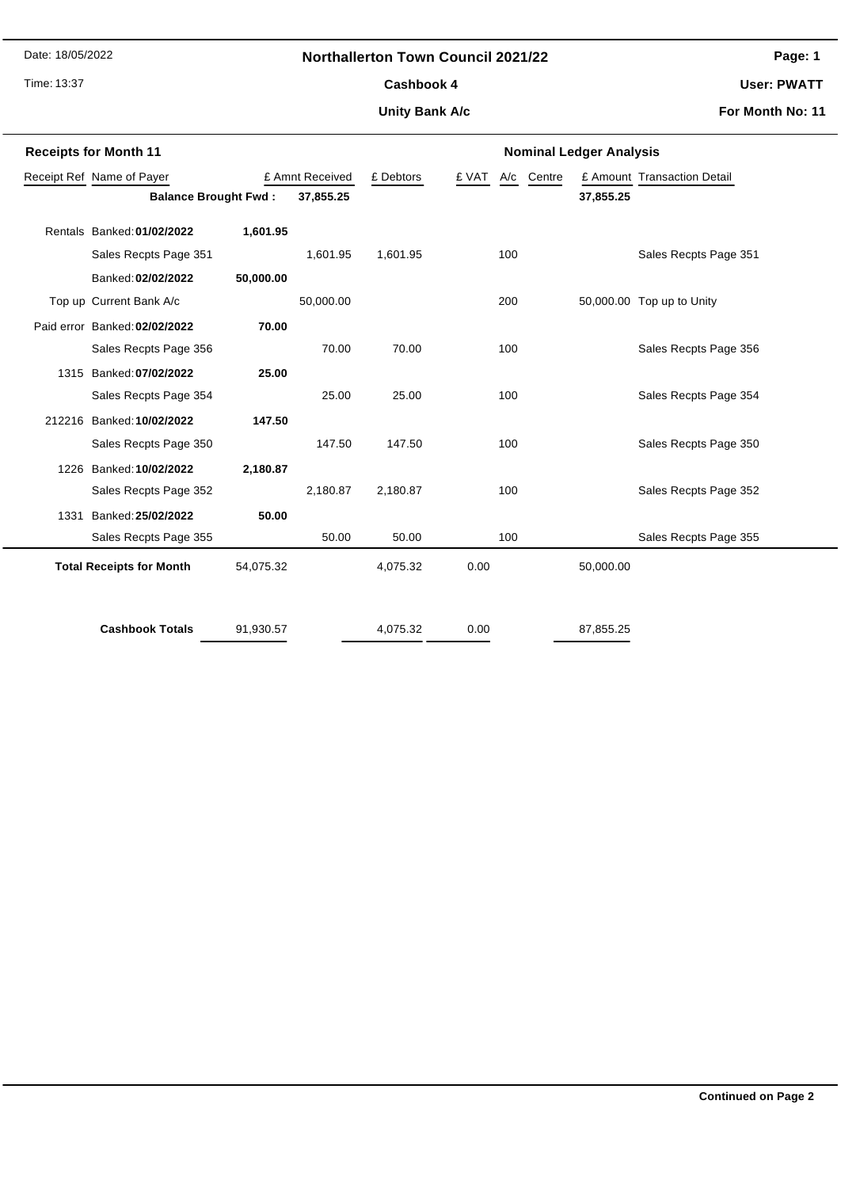Date: 18/05/2022

### **Northallerton Town Council 2021/22**

Time: 13:37

## **Page: 1**

**User: PWATT**

# **Unity Bank A/c** Cashbook 4

**For Month No: 11**

|                             | <b>Receipts for Month 11</b>    |           |                 | <b>Nominal Ledger Analysis</b> |                     |                             |  |  |
|-----------------------------|---------------------------------|-----------|-----------------|--------------------------------|---------------------|-----------------------------|--|--|
| Receipt Ref Name of Payer   |                                 |           | £ Amnt Received | £ Debtors                      | £ VAT<br>A/c Centre | £ Amount Transaction Detail |  |  |
| <b>Balance Brought Fwd:</b> |                                 |           | 37,855.25       |                                |                     | 37,855.25                   |  |  |
|                             | Rentals Banked: 01/02/2022      | 1,601.95  |                 |                                |                     |                             |  |  |
|                             | Sales Recpts Page 351           |           | 1,601.95        | 1,601.95                       | 100                 | Sales Recpts Page 351       |  |  |
|                             | Banked: 02/02/2022              | 50,000.00 |                 |                                |                     |                             |  |  |
|                             | Top up Current Bank A/c         |           | 50,000.00       |                                | 200                 | 50,000.00 Top up to Unity   |  |  |
|                             | Paid error Banked: 02/02/2022   | 70.00     |                 |                                |                     |                             |  |  |
|                             | Sales Recpts Page 356           |           | 70.00           | 70.00                          | 100                 | Sales Recpts Page 356       |  |  |
| 1315                        | Banked: 07/02/2022              | 25.00     |                 |                                |                     |                             |  |  |
|                             | Sales Recpts Page 354           |           | 25.00           | 25.00                          | 100                 | Sales Recpts Page 354       |  |  |
|                             | 212216 Banked: 10/02/2022       | 147.50    |                 |                                |                     |                             |  |  |
|                             | Sales Recpts Page 350           |           | 147.50          | 147.50                         | 100                 | Sales Recpts Page 350       |  |  |
| 1226                        | Banked: 10/02/2022              | 2,180.87  |                 |                                |                     |                             |  |  |
|                             | Sales Recpts Page 352           |           | 2,180.87        | 2,180.87                       | 100                 | Sales Recpts Page 352       |  |  |
| 1331                        | Banked: 25/02/2022              | 50.00     |                 |                                |                     |                             |  |  |
|                             | Sales Recpts Page 355           |           | 50.00           | 50.00                          | 100                 | Sales Recpts Page 355       |  |  |
|                             | <b>Total Receipts for Month</b> | 54,075.32 |                 | 4,075.32                       | 0.00                | 50,000.00                   |  |  |
|                             |                                 |           |                 |                                |                     |                             |  |  |
|                             | <b>Cashbook Totals</b>          | 91,930.57 |                 | 4,075.32                       | 0.00                | 87,855.25                   |  |  |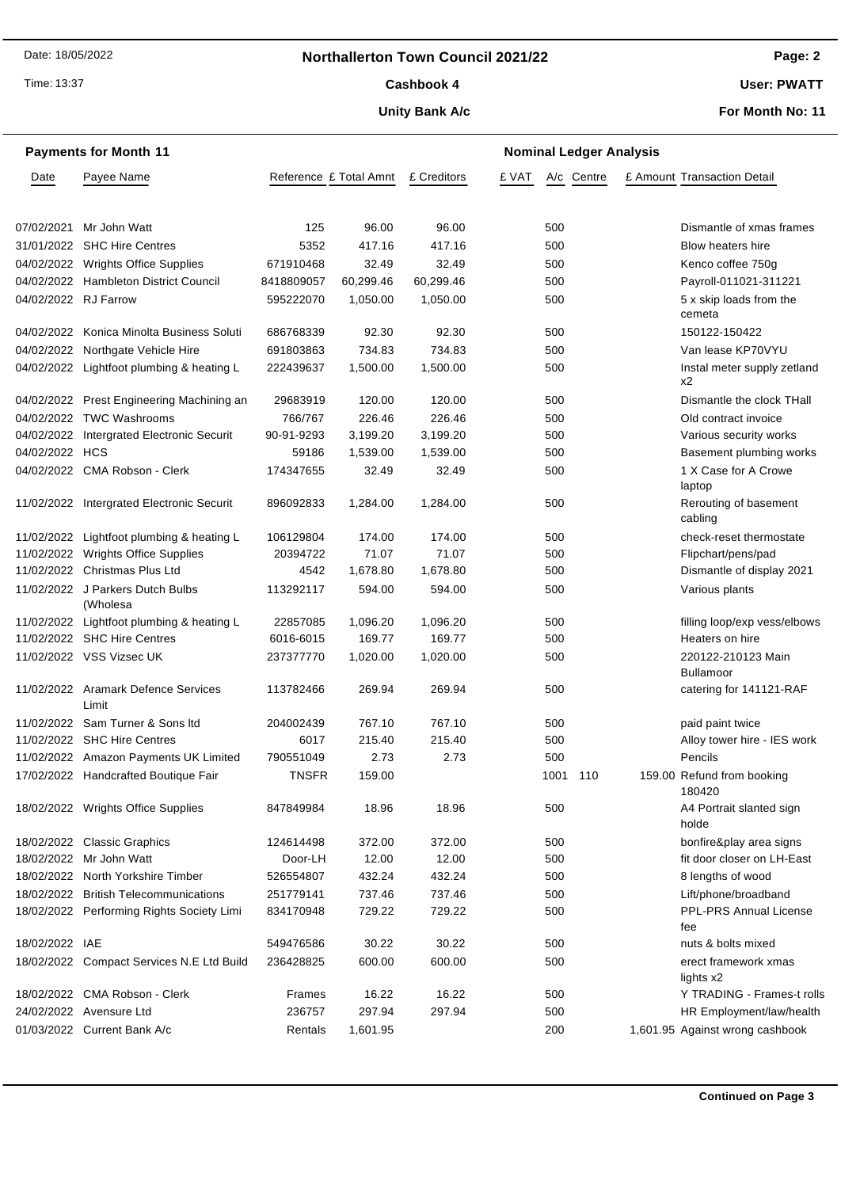### **Northallerton Town Council 2021/22**

Time: 13:37

### Cashbook 4

#### **Unity Bank A/c**

**User: PWATT**

**For Month No: 11**

|                      | <b>Payments for Month 11</b>                 |                        |           |             |       |          | <b>Nominal Ledger Analysis</b> |  |                                        |
|----------------------|----------------------------------------------|------------------------|-----------|-------------|-------|----------|--------------------------------|--|----------------------------------------|
| Date                 | Payee Name                                   | Reference £ Total Amnt |           | £ Creditors | £ VAT |          | A/c Centre                     |  | £ Amount Transaction Detail            |
|                      |                                              |                        |           |             |       |          |                                |  |                                        |
| 07/02/2021           | Mr John Watt                                 | 125                    | 96.00     | 96.00       |       | 500      |                                |  | Dismantle of xmas frames               |
|                      | 31/01/2022 SHC Hire Centres                  | 5352                   | 417.16    | 417.16      |       | 500      |                                |  | Blow heaters hire                      |
|                      | 04/02/2022 Wrights Office Supplies           | 671910468              | 32.49     | 32.49       |       | 500      |                                |  | Kenco coffee 750g                      |
|                      | 04/02/2022 Hambleton District Council        | 8418809057             | 60,299.46 | 60,299.46   |       | 500      |                                |  | Payroll-011021-311221                  |
| 04/02/2022 RJ Farrow |                                              | 595222070              | 1,050.00  | 1,050.00    |       | 500      |                                |  | 5 x skip loads from the<br>cemeta      |
|                      | 04/02/2022 Konica Minolta Business Soluti    | 686768339              | 92.30     | 92.30       |       | 500      |                                |  | 150122-150422                          |
|                      | 04/02/2022 Northgate Vehicle Hire            | 691803863              | 734.83    | 734.83      |       | 500      |                                |  | Van lease KP70VYU                      |
|                      | 04/02/2022 Lightfoot plumbing & heating L    | 222439637              | 1,500.00  | 1,500.00    |       | 500      |                                |  | Instal meter supply zetland<br>x2      |
|                      | 04/02/2022 Prest Engineering Machining an    | 29683919               | 120.00    | 120.00      |       | 500      |                                |  | Dismantle the clock THall              |
|                      | 04/02/2022 TWC Washrooms                     | 766/767                | 226.46    | 226.46      |       | 500      |                                |  | Old contract invoice                   |
|                      | 04/02/2022 Intergrated Electronic Securit    | 90-91-9293             | 3,199.20  | 3,199.20    |       | 500      |                                |  | Various security works                 |
| 04/02/2022 HCS       |                                              | 59186                  | 1,539.00  | 1,539.00    |       | 500      |                                |  | Basement plumbing works                |
|                      | 04/02/2022 CMA Robson - Clerk                | 174347655              | 32.49     | 32.49       |       | 500      |                                |  | 1 X Case for A Crowe<br>laptop         |
|                      | 11/02/2022 Intergrated Electronic Securit    | 896092833              | 1,284.00  | 1,284.00    |       | 500      |                                |  | Rerouting of basement<br>cabling       |
|                      | 11/02/2022 Lightfoot plumbing & heating L    | 106129804              | 174.00    | 174.00      |       | 500      |                                |  | check-reset thermostate                |
|                      | 11/02/2022 Wrights Office Supplies           | 20394722               | 71.07     | 71.07       |       | 500      |                                |  | Flipchart/pens/pad                     |
|                      | 11/02/2022 Christmas Plus Ltd                | 4542                   | 1,678.80  | 1,678.80    |       | 500      |                                |  | Dismantle of display 2021              |
|                      | 11/02/2022 J Parkers Dutch Bulbs<br>(Wholesa | 113292117              | 594.00    | 594.00      |       | 500      |                                |  | Various plants                         |
|                      | 11/02/2022 Lightfoot plumbing & heating L    | 22857085               | 1,096.20  | 1,096.20    |       | 500      |                                |  | filling loop/exp vess/elbows           |
|                      | 11/02/2022 SHC Hire Centres                  | 6016-6015              | 169.77    | 169.77      |       | 500      |                                |  | Heaters on hire                        |
|                      | 11/02/2022 VSS Vizsec UK                     | 237377770              | 1,020.00  | 1,020.00    |       | 500      |                                |  | 220122-210123 Main<br><b>Bullamoor</b> |
|                      | 11/02/2022 Aramark Defence Services<br>Limit | 113782466              | 269.94    | 269.94      |       | 500      |                                |  | catering for 141121-RAF                |
|                      | 11/02/2022 Sam Turner & Sons Itd             | 204002439              | 767.10    | 767.10      |       | 500      |                                |  | paid paint twice                       |
|                      | 11/02/2022 SHC Hire Centres                  | 6017                   | 215.40    | 215.40      |       | 500      |                                |  | Alloy tower hire - IES work            |
|                      | 11/02/2022 Amazon Payments UK Limited        | 790551049              | 2.73      | 2.73        |       | 500      |                                |  | Pencils                                |
|                      | 17/02/2022 Handcrafted Boutique Fair         | <b>TNSFR</b>           | 159.00    |             |       | 1001 110 |                                |  | 159.00 Refund from booking<br>180420   |
|                      | 18/02/2022 Wrights Office Supplies           | 847849984              | 18.96     | 18.96       |       | 500      |                                |  | A4 Portrait slanted sign<br>holde      |
|                      | 18/02/2022 Classic Graphics                  | 124614498              | 372.00    | 372.00      |       | 500      |                                |  | bonfire&play area signs                |
|                      | 18/02/2022 Mr John Watt                      | Door-LH                | 12.00     | 12.00       |       | 500      |                                |  | fit door closer on LH-East             |
|                      | 18/02/2022 North Yorkshire Timber            | 526554807              | 432.24    | 432.24      |       | 500      |                                |  | 8 lengths of wood                      |
|                      | 18/02/2022 British Telecommunications        | 251779141              | 737.46    | 737.46      |       | 500      |                                |  | Lift/phone/broadband                   |
|                      | 18/02/2022 Performing Rights Society Limi    | 834170948              | 729.22    | 729.22      |       | 500      |                                |  | <b>PPL-PRS Annual License</b><br>fee   |
| 18/02/2022 IAE       |                                              | 549476586              | 30.22     | 30.22       |       | 500      |                                |  | nuts & bolts mixed                     |
|                      | 18/02/2022 Compact Services N.E Ltd Build    | 236428825              | 600.00    | 600.00      |       | 500      |                                |  | erect framework xmas<br>lights x2      |
|                      | 18/02/2022 CMA Robson - Clerk                | Frames                 | 16.22     | 16.22       |       | 500      |                                |  | Y TRADING - Frames-t rolls             |
|                      | 24/02/2022 Avensure Ltd                      | 236757                 | 297.94    | 297.94      |       | 500      |                                |  | HR Employment/law/health               |
|                      | 01/03/2022 Current Bank A/c                  | Rentals                | 1,601.95  |             |       | 200      |                                |  | 1,601.95 Against wrong cashbook        |

### **Page: 2**